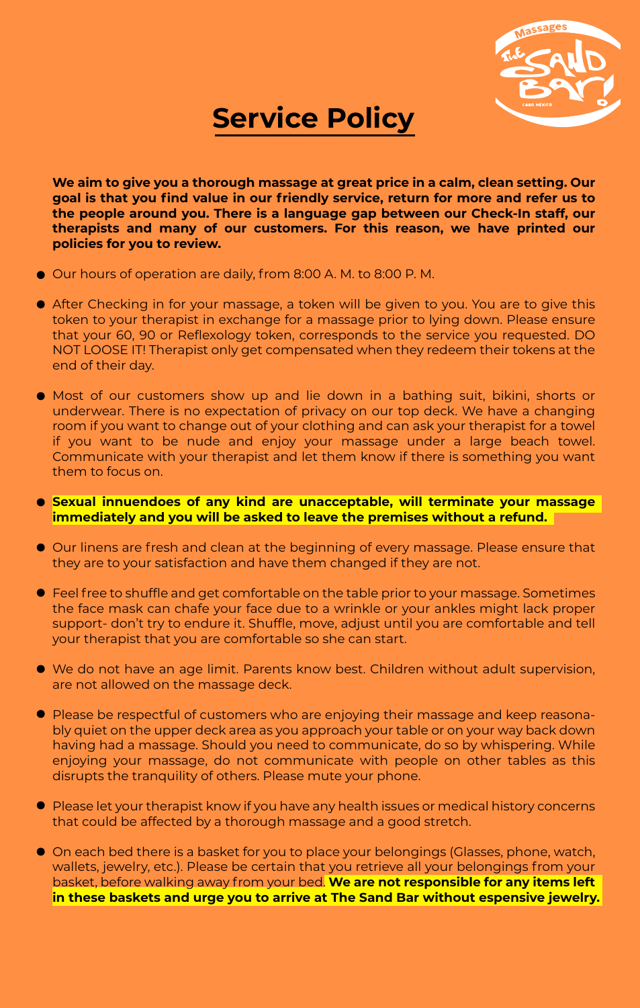

## **Service Policy**

**We aim to give you a thorough massage at great price in a calm, clean setting. Our goal is that you find value in our friendly service, return for more and refer us to the people around you. There is a language gap between our Check-In staff, our therapists and many of our customers. For this reason, we have printed our policies for you to review.**

- Our hours of operation are daily, from 8:00 A. M. to 8:00 P. M.
- After Checking in for your massage, a token will be given to you. You are to give this token to your therapist in exchange for a massage prior to lying down. Please ensure that your 60, 90 or Reflexology token, corresponds to the service you requested. DO NOT LOOSE IT! Therapist only get compensated when they redeem their tokens at the end of their day.
- Most of our customers show up and lie down in a bathing suit, bikini, shorts or underwear. There is no expectation of privacy on our top deck. We have a changing room if you want to change out of your clothing and can ask your therapist for a towel if you want to be nude and enjoy your massage under a large beach towel. Communicate with your therapist and let them know if there is something you want them to focus on.

## **Sexual innuendoes of any kind are unacceptable, will terminate your massage immediately and you will be asked to leave the premises without a refund.**

- Our linens are fresh and clean at the beginning of every massage. Please ensure that they are to your satisfaction and have them changed if they are not.
- Feel free to shuffle and get comfortable on the table prior to your massage. Sometimes the face mask can chafe your face due to a wrinkle or your ankles might lack proper support- don't try to endure it. Shuffle, move, adjust until you are comfortable and tell your therapist that you are comfortable so she can start.
- We do not have an age limit. Parents know best. Children without adult supervision, are not allowed on the massage deck.
- Please be respectful of customers who are enjoying their massage and keep reasonably quiet on the upper deck area as you approach your table or on your way back down having had a massage. Should you need to communicate, do so by whispering. While enjoying your massage, do not communicate with people on other tables as this disrupts the tranquility of others. Please mute your phone.
- **P** Please let your therapist know if you have any health issues or medical history concerns that could be affected by a thorough massage and a good stretch.
- On each bed there is a basket for you to place your belongings (Glasses, phone, watch, wallets, jewelry, etc.). Please be certain that you retrieve all your belongings from your basket, before walking away from your bed. **We are not responsible for any items left in these baskets and urge you to arrive at The Sand Bar without espensive jewelry.**